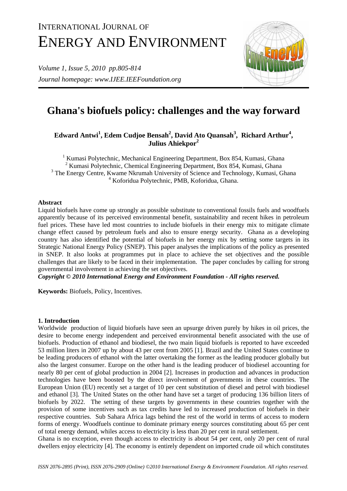# INTERNATIONAL JOURNAL OF ENERGY AND ENVIRONMENT

*Volume 1, Issue 5, 2010 pp.805-814 Journal homepage: www.IJEE.IEEFoundation.org* 



## **Ghana's biofuels policy: challenges and the way forward**

### **Edward Antwi<sup>1</sup> , Edem Cudjoe Bensah<sup>2</sup> , David Ato Quansah<sup>3</sup> , Richard Arthur<sup>4</sup> ,**  Julius Ahiekpor<sup>2</sup>

<sup>1</sup> Kumasi Polytechnic, Mechanical Engineering Department, Box 854, Kumasi, Ghana <sup>2</sup> Kumasi Polytechnic, Chemical Engineering Department, Box 854, Kumasi, Ghana <sup>3</sup> The Energy Centre, Kwame Nkrumah University of Science and Technology, Kumasi, Ghana 4 Koforidua Polytechnic, PMB, Koforidua, Ghana.

#### **Abstract**

Liquid biofuels have come up strongly as possible substitute to conventional fossils fuels and woodfuels apparently because of its perceived environmental benefit, sustainability and recent hikes in petroleum fuel prices. These have led most countries to include biofuels in their energy mix to mitigate climate change effect caused by petroleum fuels and also to ensure energy security. Ghana as a developing country has also identified the potential of biofuels in her energy mix by setting some targets in its Strategic National Energy Policy (SNEP). This paper analyses the implications of the policy as presented in SNEP. It also looks at programmes put in place to achieve the set objectives and the possible challenges that are likely to be faced in their implementation. The paper concludes by calling for strong governmental involvement in achieving the set objectives.

*Copyright © 2010 International Energy and Environment Foundation - All rights reserved.*

**Keywords:** Biofuels, Policy, Incentives.

#### **1. Introduction**

Worldwide production of liquid biofuels have seen an upsurge driven purely by hikes in oil prices, the desire to become energy independent and perceived environmental benefit associated with the use of biofuels. Production of ethanol and biodiesel, the two main liquid biofuels is reported to have exceeded 53 million liters in 2007 up by about 43 per cent from 2005 [1]. Brazil and the United States continue to be leading producers of ethanol with the latter overtaking the former as the leading producer globally but also the largest consumer. Europe on the other hand is the leading producer of biodiesel accounting for nearly 80 per cent of global production in 2004 [2]. Increases in production and advances in production technologies have been boosted by the direct involvement of governments in these countries. The European Union (EU) recently set a target of 10 per cent substitution of diesel and petrol with biodiesel and ethanol [3]. The United States on the other hand have set a target of producing 136 billion liters of biofuels by 2022. The setting of these targets by governments in these countries together with the provision of some incentives such as tax credits have led to increased production of biofuels in their respective countries. Sub Sahara Africa lags behind the rest of the world in terms of access to modern forms of energy. Woodfuels continue to dominate primary energy sources constituting about 65 per cent of total energy demand, whiles access to electricity is less than 20 per cent in rural settlement.

Ghana is no exception, even though access to electricity is about 54 per cent, only 20 per cent of rural dwellers enjoy electricity [4]. The economy is entirely dependent on imported crude oil which constitutes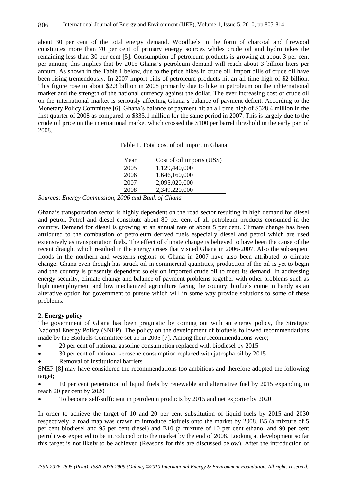about 30 per cent of the total energy demand. Woodfuels in the form of charcoal and firewood constitutes more than 70 per cent of primary energy sources whiles crude oil and hydro takes the remaining less than 30 per cent [5]. Consumption of petroleum products is growing at about 3 per cent per annum; this implies that by 2015 Ghana's petroleum demand will reach about 3 billion liters per annum. As shown in the Table 1 below, due to the price hikes in crude oil, import bills of crude oil have been rising tremendously. In 2007 import bills of petroleum products hit an all time high of \$2 billion. This figure rose to about \$2.3 billion in 2008 primarily due to hike in petroleum on the inhternational market and the strength of the national currency against the dollar. The ever increasing cost of crude oil on the international market is seriously affecting Ghana's balance of payment deficit. According to the Monetary Policy Committee [6], Ghana's balance of payment hit an all time high of \$528.4 million in the first quarter of 2008 as compared to \$335.1 million for the same period in 2007. This is largely due to the crude oil price on the international market which crossed the \$100 per barrel threshold in the early part of 2008.

Table 1. Total cost of oil import in Ghana

| Year | Cost of oil imports (US\$) |
|------|----------------------------|
| 2005 | 1,129,440,000              |
| 2006 | 1,646,160,000              |
| 2007 | 2,095,020,000              |
| 2008 | 2,349,220,000              |

*Sources: Energy Commission, 2006 and Bank of Ghana* 

Ghana's transportation sector is highly dependent on the road sector resulting in high demand for diesel and petrol. Petrol and diesel constitute about 80 per cent of all petroleum products consumed in the country. Demand for diesel is growing at an annual rate of about 5 per cent. Climate change has been attributed to the combustion of petroleum derived fuels especially diesel and petrol which are used extensively as transportation fuels. The effect of climate change is believed to have been the cause of the recent draught which resulted in the energy crises that visited Ghana in 2006-2007. Also the subsequent floods in the northern and westerns regions of Ghana in 2007 have also been attributed to climate change. Ghana even though has struck oil in commercial quantities, production of the oil is yet to begin and the country is presently dependent solely on imported crude oil to meet its demand. In addressing energy security, climate change and balance of payment problems together with other problems such as high unemployment and low mechanized agriculture facing the country, biofuels come in handy as an alterative option for government to pursue which will in some way provide solutions to some of these problems.

#### **2. Energy policy**

The government of Ghana has been pragmatic by coming out with an energy policy, the Strategic National Energy Policy (SNEP). The policy on the development of biofuels followed recommendations made by the Biofuels Committee set up in 2005 [7]. Among their recommendations were;

- 20 per cent of national gasoline consumption replaced with biodiesel by 2015
- 30 per cent of national kerosene consumption replaced with jatropha oil by 2015

• Removal of institutional barriers

SNEP [8] may have considered the recommendations too ambitious and therefore adopted the following target;

• 10 per cent penetration of liquid fuels by renewable and alternative fuel by 2015 expanding to reach 20 per cent by 2020

• To become self-sufficient in petroleum products by 2015 and net exporter by 2020

In order to achieve the target of 10 and 20 per cent substitution of liquid fuels by 2015 and 2030 respectively, a road map was drawn to introduce biofuels onto the market by 2008. B5 (a mixture of 5 per cent biodiesel and 95 per cent diesel) and E10 (a mixture of 10 per cent ethanol and 90 per cent petrol) was expected to be introduced onto the market by the end of 2008. Looking at development so far this target is not likely to be achieved (Reasons for this are discussed below). After the introduction of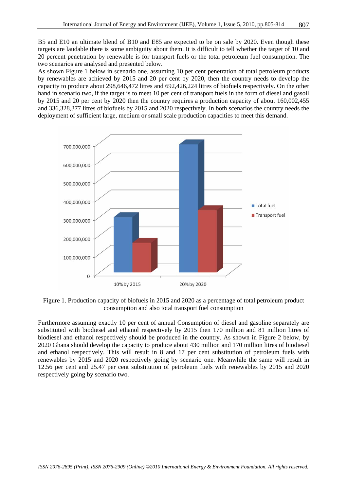B5 and E10 an ultimate blend of B10 and E85 are expected to be on sale by 2020. Even though these targets are laudable there is some ambiguity about them. It is difficult to tell whether the target of 10 and 20 percent penetration by renewable is for transport fuels or the total petroleum fuel consumption. The two scenarios are analysed and presented below.

As shown Figure 1 below in scenario one, assuming 10 per cent penetration of total petroleum products by renewables are achieved by 2015 and 20 per cent by 2020, then the country needs to develop the capacity to produce about 298,646,472 litres and 692,426,224 litres of biofuels respectively. On the other hand in scenario two, if the target is to meet 10 per cent of transport fuels in the form of diesel and gasoil by 2015 and 20 per cent by 2020 then the country requires a production capacity of about 160,002,455 and 336,328,377 litres of biofuels by 2015 and 2020 respectively. In both scenarios the country needs the deployment of sufficient large, medium or small scale production capacities to meet this demand.



Figure 1. Production capacity of biofuels in 2015 and 2020 as a percentage of total petroleum product consumption and also total transport fuel consumption

Furthermore assuming exactly 10 per cent of annual Consumption of diesel and gasoline separately are substituted with biodiesel and ethanol respectively by 2015 then 170 million and 81 million litres of biodiesel and ethanol respectively should be produced in the country. As shown in Figure 2 below, by 2020 Ghana should develop the capacity to produce about 430 million and 170 million litres of biodiesel and ethanol respectively. This will result in 8 and 17 per cent substitution of petroleum fuels with renewables by 2015 and 2020 respectively going by scenario one. Meanwhile the same will result in 12.56 per cent and 25.47 per cent substitution of petroleum fuels with renewables by 2015 and 2020 respectively going by scenario two.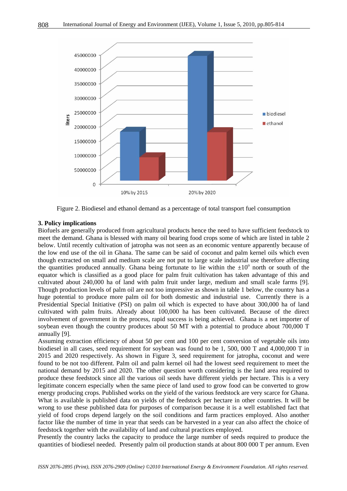

Figure 2. Biodiesel and ethanol demand as a percentage of total transport fuel consumption

#### **3. Policy implications**

Biofuels are generally produced from agricultural products hence the need to have sufficient feedstock to meet the demand. Ghana is blessed with many oil bearing food crops some of which are listed in table 2 below. Until recently cultivation of jatropha was not seen as an economic venture apparently because of the low end use of the oil in Ghana. The same can be said of coconut and palm kernel oils which even though extracted on small and medium scale are not put to large scale industrial use therefore affecting the quantities produced annually. Ghana being fortunate to lie within the  $\pm 10^{\circ}$  north or south of the equator which is classified as a good place for palm fruit cultivation has taken advantage of this and cultivated about 240,000 ha of land with palm fruit under large, medium and small scale farms [9]. Though production levels of palm oil are not too impressive as shown in table 1 below, the country has a huge potential to produce more palm oil for both domestic and industrial use. Currently there is a Presidential Special Initiative (PSI) on palm oil which is expected to have about 300,000 ha of land cultivated with palm fruits. Already about 100,000 ha has been cultivated. Because of the direct involvement of government in the process, rapid success is being achieved. Ghana is a net importer of soybean even though the country produces about 50 MT with a potential to produce about 700,000 T annually [9].

Assuming extraction efficiency of about 50 per cent and 100 per cent conversion of vegetable oils into biodiesel in all cases, seed requirement for soybean was found to be 1, 500, 000 T and 4,000,000 T in 2015 and 2020 respectively. As shown in Figure 3, seed requirement for jatropha, coconut and were found to be not too different. Palm oil and palm kernel oil had the lowest seed requirement to meet the national demand by 2015 and 2020. The other question worth considering is the land area required to produce these feedstock since all the various oil seeds have different yields per hectare. This is a very legitimate concern especially when the same piece of land used to grow food can be converted to grow energy producing crops. Published works on the yield of the various feedstock are very scarce for Ghana. What is available is published data on yields of the feedstock per hectare in other countries. It will be wrong to use these published data for purposes of comparison because it is a well established fact that yield of food crops depend largely on the soil conditions and farm practices employed. Also another factor like the number of time in year that seeds can be harvested in a year can also affect the choice of feedstock together with the availability of land and cultural practices employed.

Presently the country lacks the capacity to produce the large number of seeds required to produce the quantities of biodiesel needed. Presently palm oil production stands at about 800 000 T per annum. Even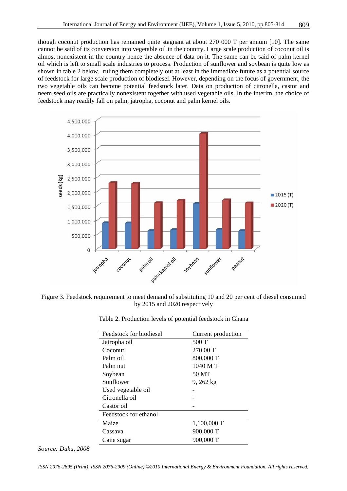though coconut production has remained quite stagnant at about 270 000 T per annum [10]. The same cannot be said of its conversion into vegetable oil in the country. Large scale production of coconut oil is almost nonexistent in the country hence the absence of data on it. The same can be said of palm kernel oil which is left to small scale industries to process. Production of sunflower and soybean is quite low as shown in table 2 below, ruling them completely out at least in the immediate future as a potential source of feedstock for large scale production of biodiesel. However, depending on the focus of government, the two vegetable oils can become potential feedstock later. Data on production of citronella, castor and neem seed oils are practically nonexistent together with used vegetable oils. In the interim, the choice of feedstock may readily fall on palm, jatropha, coconut and palm kernel oils.



Figure 3. Feedstock requirement to meet demand of substituting 10 and 20 per cent of diesel consumed by 2015 and 2020 respectively

| Feedstock for biodiesel | Current production |  |  |
|-------------------------|--------------------|--|--|
| Jatropha oil            | 500 T              |  |  |
| Coconut                 | 270 00 T           |  |  |
| Palm oil                | 800,000 T          |  |  |
| Palm nut                | 1040 MT            |  |  |
| Soybean                 | 50 MT              |  |  |
| Sunflower               | $9,262$ kg         |  |  |
| Used vegetable oil      |                    |  |  |
| Citronella oil          |                    |  |  |
| Castor oil              |                    |  |  |
| Feedstock for ethanol   |                    |  |  |
| Maize                   | 1,100,000 T        |  |  |
| Cassava                 | 900,000 T          |  |  |
| Cane sugar              | 900,000 T          |  |  |
|                         |                    |  |  |

|  | Table 2. Production levels of potential feedstock in Ghana |  |  |  |
|--|------------------------------------------------------------|--|--|--|
|--|------------------------------------------------------------|--|--|--|

*Source: Duku, 2008*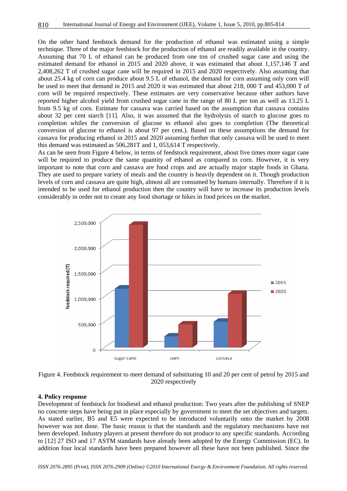On the other hand feedstock demand for the production of ethanol was estimated using a simple technique. Three of the major feedstock for the production of ethanol are readily available in the country. Assuming that 70 L of ethanol can be produced from one ton of crushed sugar cane and using the estimated demand for ethanol in 2015 and 2020 above, it was estimated that about 1,157,146 T and 2,408,262 T of crushed sugar cane will be required in 2015 and 2020 respectively. Also assuming that about 25.4 kg of corn can produce about 9.5 L of ethanol, the demand for corn assuming only corn will be used to meet that demand in 2015 and 2020 it was estimated that about 218, 000 T and 453,000 T of corn will be required respectively. These estimates are very conservative because other authors have reported higher alcohol yield from crushed sugar cane in the range of 80 L per ton as well as 13.25 L from 9.5 kg of corn. Estimate for cassava was carried based on the assumption that cassava contains about 32 per cent starch [11]. Also, it was assumed that the hydrolysis of starch to glucose goes to completion whiles the conversion of glucose to ethanol also goes to completion (The theoretical conversion of glucose to ethanol is about 97 per cent.). Based on these assumptions the demand for cassava for producing ethanol in 2015 and 2020 assuming further that only cassava will be used to meet this demand was estimated as 506,281T and 1, 053,614 T respectively.

As can be seen from Figure 4 below, in terms of feedstock requirement, about five times more sugar cane will be required to produce the same quantity of ethanol as compared to corn. However, it is very important to note that corn and cassava are food crops and are actually major staple foods in Ghana. They are used to prepare variety of meals and the country is heavily dependent on it. Though production levels of corn and cassava are quite high, almost all are consumed by humans internally. Therefore if it is intended to be used for ethanol production then the country will have to increase its production levels considerably in order not to create any food shortage or hikes in food prices on the market.



Figure 4. Feedstock requirement to meet demand of substituting 10 and 20 per cent of petrol by 2015 and 2020 respectively

#### **4. Policy response**

Development of feedstock for biodiesel and ethanol production: Two years after the publishing of SNEP no concrete steps have being put in place especially by government to meet the set objectives and targets. As stated earlier, B5 and E5 were expected to be introduced voluntarily onto the market by 2008 however was not done. The basic reason is that the standards and the regulatory mechanisms have not been developed. Industry players at present therefore do not produce to any specific standards. According to [12] 27 ISO and 17 ASTM standards have already been adopted by the Energy Commission (EC). In addition four local standards have been prepared however all these have not been published. Since the

*ISSN 2076-2895 (Print), ISSN 2076-2909 (Online) ©2010 International Energy & Environment Foundation. All rights reserved.*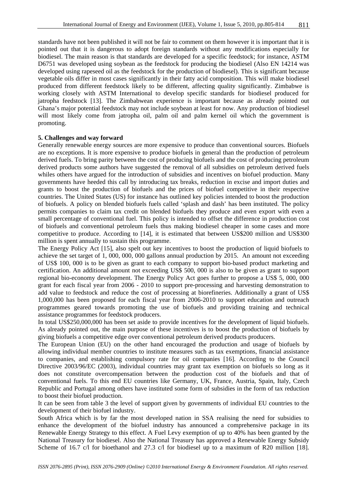standards have not been published it will not be fair to comment on them however it is important that it is pointed out that it is dangerous to adopt foreign standards without any modifications especially for biodiesel. The main reason is that standards are developed for a specific feedstock; for instance, ASTM D6751 was developed using soybean as the feedstock for producing the biodiesel (Also EN 14214 was developed using rapeseed oil as the feedstock for the production of biodiesel). This is significant because vegetable oils differ in most cases significantly in their fatty acid composition. This will make biodiesel produced from different feedstock likely to be different, affecting quality significantly. Zimbabwe is working closely with ASTM International to develop specific standards for biodiesel produced for jatropha feedstock [13]. The Zimbabwean experience is important because as already pointed out Ghana's major potential feedstock may not include soybean at least for now. Any production of biodiesel will most likely come from jatropha oil, palm oil and palm kernel oil which the government is promoting.

#### **5. Challenges and way forward**

Generally renewable energy sources are more expensive to produce than conventional sources. Biofuels are no exceptions. It is more expensive to produce biofuels in general than the production of petroleum derived fuels. To bring parity between the cost of producing biofuels and the cost of producing petroleum derived products some authors have suggested the removal of all subsidies on petroleum derived fuels whiles others have argued for the introduction of subsidies and incentives on biofuel production. Many governments have heeded this call by introducing tax breaks, reduction in excise and import duties and grants to boost the production of biofuels and the prices of biofuel competitive in their respective countries. The United States (US) for instance has outlined key policies intended to boost the production of biofuels. A policy on blended biofuels fuels called 'splash and dash' has been instituted. The policy permits companies to claim tax credit on blended biofuels they produce and even export with even a small percentage of conventional fuel. This policy is intended to offset the difference in production cost of biofuels and conventional petroleum fuels thus making biodiesel cheaper in some cases and more competitive to produce. According to [14], it is estimated that between US\$200 million and US\$300 million is spent annually to sustain this programme.

The Energy Policy Act [15], also spelt out key incentives to boost the production of liquid biofuels to achieve the set target of 1, 000, 000, 000 gallons annual production by 2015. An amount not exceeding of US\$ 100, 000 is to be given as grant to each company to support bio-based product marketing and certification. An additional amount not exceeding US\$ 500, 000 is also to be given as grant to support regional bio-economy development. The Energy Policy Act goes further to propose a US\$ 5, 000, 000 grant for each fiscal year from 2006 - 2010 to support pre-processing and harvesting demonstration to add value to feedstock and reduce the cost of processing at biorefineries. Additionally a grant of US\$ 1,000,000 has been proposed for each fiscal year from 2006-2010 to support education and outreach programmes geared towards promoting the use of biofuels and providing training and technical assistance programmes for feedstock producers.

In total US\$250,000,000 has been set aside to provide incentives for the development of liquid biofuels. As already pointed out, the main purpose of these incentives is to boost the production of biofuels by giving biofuels a competitive edge over conventional petroleum derived products producers.

The European Union (EU) on the other hand encouraged the production and usage of biofuels by allowing individual member countries to institute measures such as tax exemptions, financial assistance to companies, and establishing compulsory rate for oil companies [16]. According to the Council Directive 2003/96/EC (2003), individual countries may grant tax exemption on biofuels so long as it does not constitute overcompensation between the production cost of the biofuels and that of conventional fuels. To this end EU countries like Germany, UK, France, Austria, Spain, Italy, Czech Republic and Portugal among others have instituted some form of subsidies in the form of tax reduction to boost their biofuel production.

It can be seen from table 3 the level of support given by governments of individual EU countries to the development of their biofuel industry.

South Africa which is by far the most developed nation in SSA realising the need for subsidies to enhance the development of the biofuel industry has announced a comprehensive package in its Renewable Energy Strategy to this effect. A Fuel Levy exemption of up to 40% has been granted by the National Treasury for biodiesel. Also the National Treasury has approved a Renewable Energy Subsidy Scheme of 16.7 c/l for bioethanol and 27.3 c/l for biodiesel up to a maximum of R20 million [18].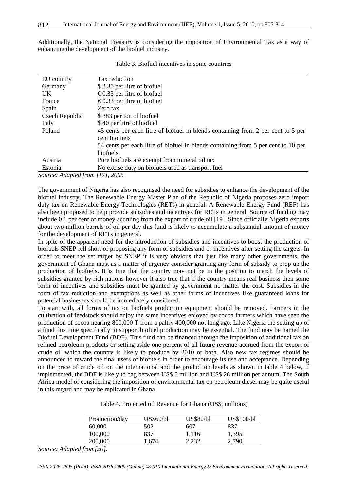Additionally, the National Treasury is considering the imposition of Environmental Tax as a way of enhancing the development of the biofuel industry.

| EU country     | Tax reduction                                                                     |
|----------------|-----------------------------------------------------------------------------------|
| Germany        | \$2.30 per litre of biofuel                                                       |
| <b>UK</b>      | €0.33 per litre of biofuel                                                        |
| France         | €0.33 per litre of biofuel                                                        |
| Spain          | Zero tax                                                                          |
| Czech Republic | \$383 per ton of biofuel                                                          |
| Italy          | \$40 per litre of biofuel                                                         |
| Poland         | 45 cents per each litre of biofuel in blends containing from 2 per cent to 5 per  |
|                | cent biofuels                                                                     |
|                | 54 cents per each litre of biofuel in blends containing from 5 per cent to 10 per |
|                | biofuels                                                                          |
| Austria        | Pure biofuels are exempt from mineral oil tax                                     |
| Estonia        | No excise duty on biofuels used as transport fuel                                 |
|                |                                                                                   |

Table 3. Biofuel incentives in some countries

*Source: Adapted from [17], 2005* 

The government of Nigeria has also recognised the need for subsidies to enhance the development of the biofuel industry. The Renewable Energy Master Plan of the Republic of Nigeria proposes zero import duty tax on Renewable Energy Technologies (RETs) in general. A Renewable Energy Fund (REF) has also been proposed to help provide subsidies and incentives for RETs in general. Source of funding may include 0.1 per cent of money accruing from the export of crude oil [19]. Since officially Nigeria exports about two million barrels of oil per day this fund is likely to accumulate a substantial amount of money for the development of RETs in general.

In spite of the apparent need for the introduction of subsidies and incentives to boost the production of biofuels SNEP fell short of proposing any form of subsidies and or incentives after setting the targets. In order to meet the set target by SNEP it is very obvious that just like many other governments, the government of Ghana must as a matter of urgency consider granting any form of subsidy to prop up the production of biofuels. It is true that the country may not be in the position to march the levels of subsidies granted by rich nations however it also true that if the country means real business then some form of incentives and subsidies must be granted by government no matter the cost. Subsidies in the form of tax reduction and exemptions as well as other forms of incentives like guaranteed loans for potential businesses should be immediately considered.

To start with, all forms of tax on biofuels production equipment should be removed. Farmers in the cultivation of feedstock should enjoy the same incentives enjoyed by cocoa farmers which have seen the production of cocoa nearing 800,000 T from a paltry 400,000 not long ago. Like Nigeria the setting up of a fund this time specifically to support biofuel production may be essential. The fund may be named the Biofuel Development Fund (BDF). This fund can be financed through the imposition of additional tax on refined petroleum products or setting aside one percent of all future revenue accrued from the export of crude oil which the country is likely to produce by 2010 or both. Also new tax regimes should be announced to reward the final users of biofuels in order to encourage its use and acceptance. Depending on the price of crude oil on the international and the production levels as shown in table 4 below, if implemented, the BDF is likely to bag between US\$ 5 million and US\$ 28 million per annum. The South Africa model of considering the imposition of environmental tax on petroleum diesel may be quite useful in this regard and may be replicated in Ghana.

|  |  | Table 4. Projected oil Revenue for Ghana (US\$, millions) |
|--|--|-----------------------------------------------------------|
|  |  |                                                           |

| Production/day | US\$60/bl | <b>US\$80/bl</b> | <b>US\$100/bl</b> |
|----------------|-----------|------------------|-------------------|
| 60,000         | 502       | 607              | 837               |
| 100,000        | 837       | 1.116            | 1,395             |
| 200,000        | .674      | 2.232            | 2.790             |
|                |           |                  |                   |

*Source: Adapted from[20].* 

*ISSN 2076-2895 (Print), ISSN 2076-2909 (Online) ©2010 International Energy & Environment Foundation. All rights reserved.*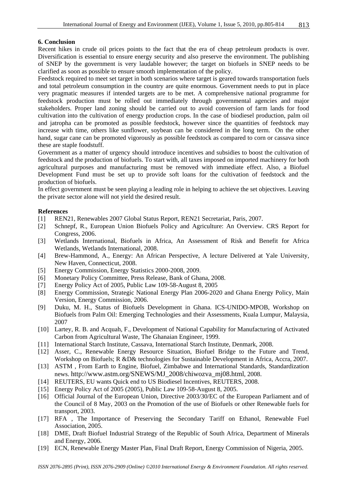#### **6. Conclusion**

Recent hikes in crude oil prices points to the fact that the era of cheap petroleum products is over. Diversification is essential to ensure energy security and also preserve the environment. The publishing of SNEP by the government is very laudable however; the target on biofuels in SNEP needs to be clarified as soon as possible to ensure smooth implementation of the policy.

Feedstock required to meet set target in both scenarios where target is geared towards transportation fuels and total petroleum consumption in the country are quite enormous. Government needs to put in place very pragmatic measures if intended targets are to be met. A comprehensive national programme for feedstock production must be rolled out immediately through governmental agencies and major stakeholders. Proper land zoning should be carried out to avoid conversion of farm lands for food cultivation into the cultivation of energy production crops. In the case of biodiesel production, palm oil and jatropha can be promoted as possible feedstock, however since the quantities of feedstock may increase with time, others like sunflower, soybean can be considered in the long term. On the other hand, sugar cane can be promoted vigorously as possible feedstock as compared to corn or cassava since these are staple foodstuff.

Government as a matter of urgency should introduce incentives and subsidies to boost the cultivation of feedstock and the production of biofuels. To start with, all taxes imposed on imported machinery for both agricultural purposes and manufacturing must be removed with immediate effect. Also, a Biofuel Development Fund must be set up to provide soft loans for the cultivation of feedstock and the production of biofuels.

In effect government must be seen playing a leading role in helping to achieve the set objectives. Leaving the private sector alone will not yield the desired result.

#### **References**

- [1] REN21, Renewables 2007 Global Status Report, REN21 Secretariat, Paris, 2007.
- [2] Schnepf, R., European Union Biofuels Policy and Agriculture: An Overview. CRS Report for Congress, 2006.
- [3] Wetlands International, Biofuels in Africa, An Assessment of Risk and Benefit for Africa Wetlands, Wetlands International, 2008.
- [4] Brew-Hammond, A., Energy: An African Perspective, A lecture Delivered at Yale University, New Haven, Connecticut, 2008.
- [5] Energy Commission, Energy Statistics 2000-2008, 2009.
- [6] Monetary Policy Committee, Press Release, Bank of Ghana, 2008.
- [7] Energy Policy Act of 2005, Public Law 109-58-August 8, 2005
- [8] Energy Commission, Strategic National Energy Plan 2006-2020 and Ghana Energy Policy, Main Version, Energy Commission, 2006.
- [9] Duku, M. H., Status of Biofuels Development in Ghana. ICS-UNIDO-MPOB, Workshop on Biofuels from Palm Oil: Emerging Technologies and their Assessments, Kuala Lumpur, Malaysia, 2007
- [10] Lartey, R. B. and Acquah, F., Development of National Capability for Manufacturing of Activated Carbon from Agricultural Waste, The Ghanaian Engineer, 1999.
- [11] International Starch Institute, Cassava, International Starch Institute, Denmark, 2008.
- [12] Asser, C., Renewable Energy Resource Situation, Biofuel Bridge to the Future and Trend, Workshop on Biofuels; R &D& technologies for Sustainable Development in Africa, Accra, 2007.
- [13] ASTM, From Earth to Engine, Biofuel, Zimbabwe and International Standards, Standardization news. http://www.astm.org/SNEWS/MJ\_2008/chiwozva\_mj08.html, 2008.
- [14] REUTERS, EU wants Quick end to US Biodiesel Incentives, REUTERS, 2008.
- [15] Energy Policy Act of 2005 (2005), Public Law 109-58-August 8, 2005.
- [16] Official Journal of the European Union, Directive 2003/30/EC of the European Parliament and of the Council of 8 May, 2003 on the Promotion of the use of Biofuels or other Renewable fuels for transport, 2003.
- [17] RFA , The Importance of Preserving the Secondary Tariff on Ethanol, Renewable Fuel Association, 2005.
- [18] DME, Draft Biofuel Industrial Strategy of the Republic of South Africa, Department of Minerals and Energy, 2006.
- [19] ECN, Renewable Energy Master Plan, Final Draft Report, Energy Commission of Nigeria, 2005.